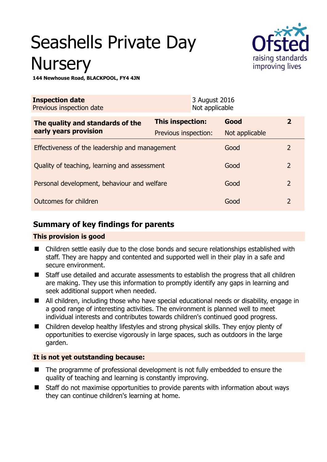# Seashells Private Day **Nursery**



**144 Newhouse Road, BLACKPOOL, FY4 4JN** 

| <b>Inspection date</b><br>Previous inspection date        |                      | 3 August 2016<br>Not applicable |                |                |
|-----------------------------------------------------------|----------------------|---------------------------------|----------------|----------------|
| The quality and standards of the<br>early years provision | This inspection:     |                                 | Good           | $\overline{2}$ |
|                                                           | Previous inspection: |                                 | Not applicable |                |
| Effectiveness of the leadership and management            |                      |                                 | Good           | $\overline{2}$ |
| Quality of teaching, learning and assessment              |                      |                                 | Good           | $\overline{2}$ |
| Personal development, behaviour and welfare               |                      |                                 | Good           | $\overline{2}$ |
| Outcomes for children                                     |                      |                                 | Good           | $\overline{2}$ |

# **Summary of key findings for parents**

## **This provision is good**

- Children settle easily due to the close bonds and secure relationships established with staff. They are happy and contented and supported well in their play in a safe and secure environment.
- Staff use detailed and accurate assessments to establish the progress that all children are making. They use this information to promptly identify any gaps in learning and seek additional support when needed.
- All children, including those who have special educational needs or disability, engage in a good range of interesting activities. The environment is planned well to meet individual interests and contributes towards children's continued good progress.
- Children develop healthy lifestyles and strong physical skills. They enjoy plenty of opportunities to exercise vigorously in large spaces, such as outdoors in the large garden.

## **It is not yet outstanding because:**

- The programme of professional development is not fully embedded to ensure the quality of teaching and learning is constantly improving.
- Staff do not maximise opportunities to provide parents with information about ways they can continue children's learning at home.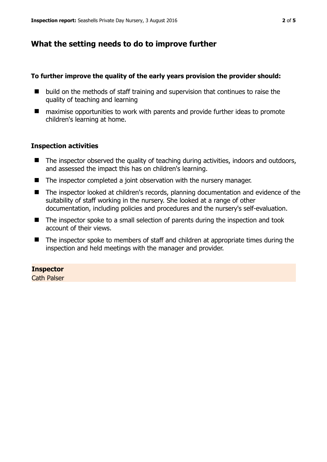## **What the setting needs to do to improve further**

#### **To further improve the quality of the early years provision the provider should:**

- build on the methods of staff training and supervision that continues to raise the quality of teaching and learning
- maximise opportunities to work with parents and provide further ideas to promote children's learning at home.

#### **Inspection activities**

- The inspector observed the quality of teaching during activities, indoors and outdoors, and assessed the impact this has on children's learning.
- The inspector completed a joint observation with the nursery manager.
- The inspector looked at children's records, planning documentation and evidence of the suitability of staff working in the nursery. She looked at a range of other documentation, including policies and procedures and the nursery's self-evaluation.
- The inspector spoke to a small selection of parents during the inspection and took account of their views.
- The inspector spoke to members of staff and children at appropriate times during the inspection and held meetings with the manager and provider.

#### **Inspector**

Cath Palser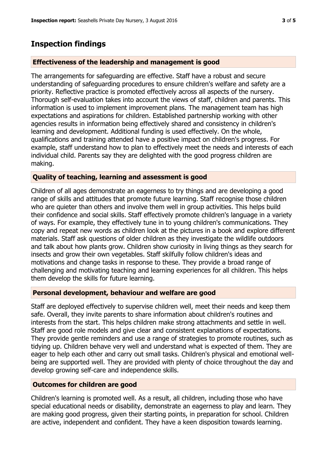# **Inspection findings**

#### **Effectiveness of the leadership and management is good**

The arrangements for safeguarding are effective. Staff have a robust and secure understanding of safeguarding procedures to ensure children's welfare and safety are a priority. Reflective practice is promoted effectively across all aspects of the nursery. Thorough self-evaluation takes into account the views of staff, children and parents. This information is used to implement improvement plans. The management team has high expectations and aspirations for children. Established partnership working with other agencies results in information being effectively shared and consistency in children's learning and development. Additional funding is used effectively. On the whole, qualifications and training attended have a positive impact on children's progress. For example, staff understand how to plan to effectively meet the needs and interests of each individual child. Parents say they are delighted with the good progress children are making.

#### **Quality of teaching, learning and assessment is good**

Children of all ages demonstrate an eagerness to try things and are developing a good range of skills and attitudes that promote future learning. Staff recognise those children who are quieter than others and involve them well in group activities. This helps build their confidence and social skills. Staff effectively promote children's language in a variety of ways. For example, they effectively tune in to young children's communications. They copy and repeat new words as children look at the pictures in a book and explore different materials. Staff ask questions of older children as they investigate the wildlife outdoors and talk about how plants grow. Children show curiosity in living things as they search for insects and grow their own vegetables. Staff skilfully follow children's ideas and motivations and change tasks in response to these. They provide a broad range of challenging and motivating teaching and learning experiences for all children. This helps them develop the skills for future learning.

#### **Personal development, behaviour and welfare are good**

Staff are deployed effectively to supervise children well, meet their needs and keep them safe. Overall, they invite parents to share information about children's routines and interests from the start. This helps children make strong attachments and settle in well. Staff are good role models and give clear and consistent explanations of expectations. They provide gentle reminders and use a range of strategies to promote routines, such as tidying up. Children behave very well and understand what is expected of them. They are eager to help each other and carry out small tasks. Children's physical and emotional wellbeing are supported well. They are provided with plenty of choice throughout the day and develop growing self-care and independence skills.

## **Outcomes for children are good**

Children's learning is promoted well. As a result, all children, including those who have special educational needs or disability, demonstrate an eagerness to play and learn. They are making good progress, given their starting points, in preparation for school. Children are active, independent and confident. They have a keen disposition towards learning.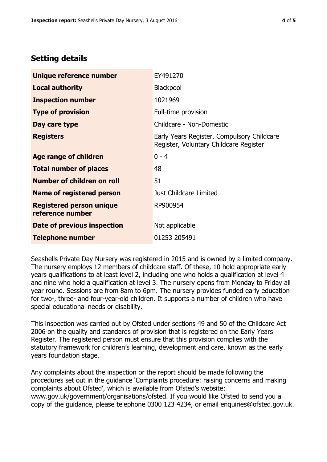# **Setting details**

| Unique reference number                             | EY491270                                                                             |  |
|-----------------------------------------------------|--------------------------------------------------------------------------------------|--|
| <b>Local authority</b>                              | <b>Blackpool</b>                                                                     |  |
| <b>Inspection number</b>                            | 1021969                                                                              |  |
| <b>Type of provision</b>                            | Full-time provision                                                                  |  |
| Day care type                                       | Childcare - Non-Domestic                                                             |  |
| <b>Registers</b>                                    | Early Years Register, Compulsory Childcare<br>Register, Voluntary Childcare Register |  |
| Age range of children                               | $0 - 4$                                                                              |  |
| <b>Total number of places</b>                       | 48                                                                                   |  |
| Number of children on roll                          | 51                                                                                   |  |
| Name of registered person                           | Just Childcare Limited                                                               |  |
| <b>Registered person unique</b><br>reference number | RP900954                                                                             |  |
| Date of previous inspection                         | Not applicable                                                                       |  |
| <b>Telephone number</b>                             | 01253 205491                                                                         |  |

Seashells Private Day Nursery was registered in 2015 and is owned by a limited company. The nursery employs 12 members of childcare staff. Of these, 10 hold appropriate early years qualifications to at least level 2, including one who holds a qualification at level 4 and nine who hold a qualification at level 3. The nursery opens from Monday to Friday all year round. Sessions are from 8am to 6pm. The nursery provides funded early education for two-, three- and four-year-old children. It supports a number of children who have special educational needs or disability.

This inspection was carried out by Ofsted under sections 49 and 50 of the Childcare Act 2006 on the quality and standards of provision that is registered on the Early Years Register. The registered person must ensure that this provision complies with the statutory framework for children's learning, development and care, known as the early years foundation stage.

Any complaints about the inspection or the report should be made following the procedures set out in the guidance 'Complaints procedure: raising concerns and making complaints about Ofsted', which is available from Ofsted's website: www.gov.uk/government/organisations/ofsted. If you would like Ofsted to send you a copy of the guidance, please telephone 0300 123 4234, or email enquiries@ofsted.gov.uk.